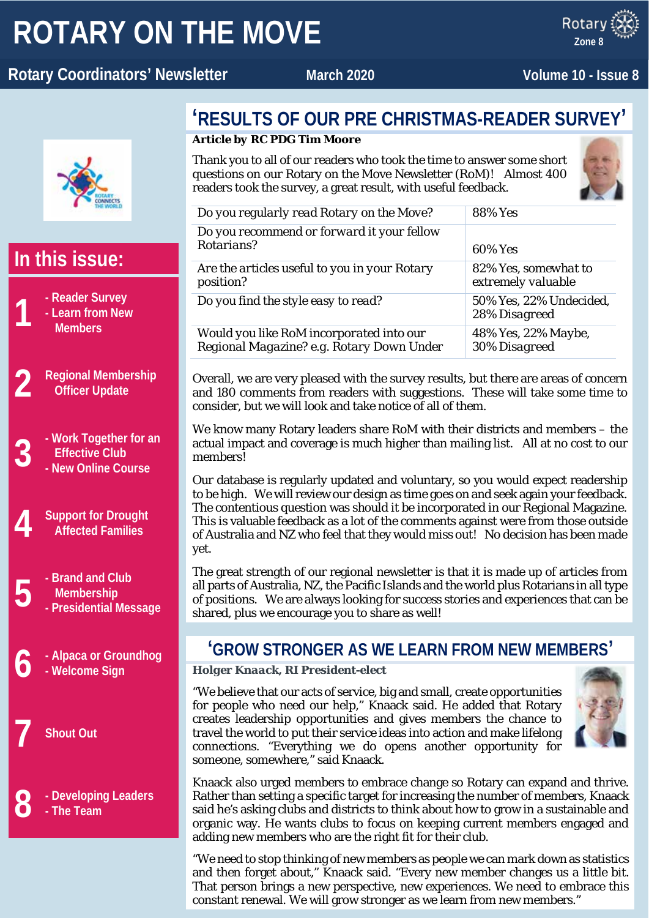# **ROTARY ON THE MOVE**





**Zone 8**



# **In this issue:**

| ◀ | - Reader Survey  |
|---|------------------|
| I | - Learn from New |
|   | <b>Members</b>   |

- **2 Regional Membership Officer Update**
	- **3 - Work Together for an Effective Club**
		- **- New Online Course**
		- **4 Support for Drought Affected Families**
- **5 - Brand and Club - Presidential Message Membership**
	-
	- **6 - Alpaca or Groundhog - Welcome Sign**
		- **7 Shout Out**

**8 - Developing Leaders - The Team**

# **'RESULTS OF OUR PRE CHRISTMAS-READER SURVEY'**

### *Article by RC PDG Tim Moore*

Thank you to all of our readers who took the time to answer some short questions on our Rotary on the Move Newsletter (RoM)! Almost 400 readers took the survey, a great result, with useful feedback.



| Do you regularly read Rotary on the Move?                                             | 88% Yes                                    |
|---------------------------------------------------------------------------------------|--------------------------------------------|
| Do you recommend or forward it your fellow<br>Rotarians?                              | 60% Yes                                    |
| Are the articles useful to you in your Rotary<br>position?                            | 82% Yes, somewhat to<br>extremely valuable |
| Do you find the style easy to read?                                                   | 50% Yes, 22% Undecided,<br>28% Disagreed   |
| Would you like RoM incorporated into our<br>Regional Magazine? e.g. Rotary Down Under | 48% Yes, 22% Maybe,<br>30% Disagreed       |

Overall, we are very pleased with the survey results, but there are areas of concern and 180 comments from readers with suggestions. These will take some time to consider, but we will look and take notice of all of them.

We know many Rotary leaders share RoM with their districts and members – the actual impact and coverage is much higher than mailing list. All at no cost to our members!

Our database is regularly updated and voluntary, so you would expect readership to be high. We will review our design as time goes on and seek again your feedback. The contentious question was should it be incorporated in our Regional Magazine. This is valuable feedback as a lot of the comments against were from those outside of Australia and NZ who feel that they would miss out! No decision has been made yet.

The great strength of our regional newsletter is that it is made up of articles from all parts of Australia, NZ, the Pacific Islands and the world plus Rotarians in all type of positions. We are always looking for success stories and experiences that can be shared, plus we encourage you to share as well!

## **'GROW STRONGER AS WE LEARN FROM NEW MEMBERS'**

### *Holger Knaack, RI President-elect*

"We believe that our acts of service, big and small, create opportunities for people who need our help," Knaack said. He added that Rotary creates leadership opportunities and gives members the chance to travel the world to put their service ideas into action and make lifelong connections. "Everything we do opens another opportunity for someone, somewhere," said Knaack.



Knaack also urged members to embrace change so Rotary can expand and thrive. Rather than setting a specific target for increasing the number of members, Knaack said he's asking clubs and districts to think about how to grow in a sustainable and organic way. He wants clubs to focus on keeping current members engaged and adding new members who are the right fit for their club.

"We need to stop thinking of new members as people we can mark down as statistics and then forget about," Knaack said. "Every new member changes us a little bit. That person brings a new perspective, new experiences. We need to embrace this constant renewal. We will grow stronger as we learn from new members."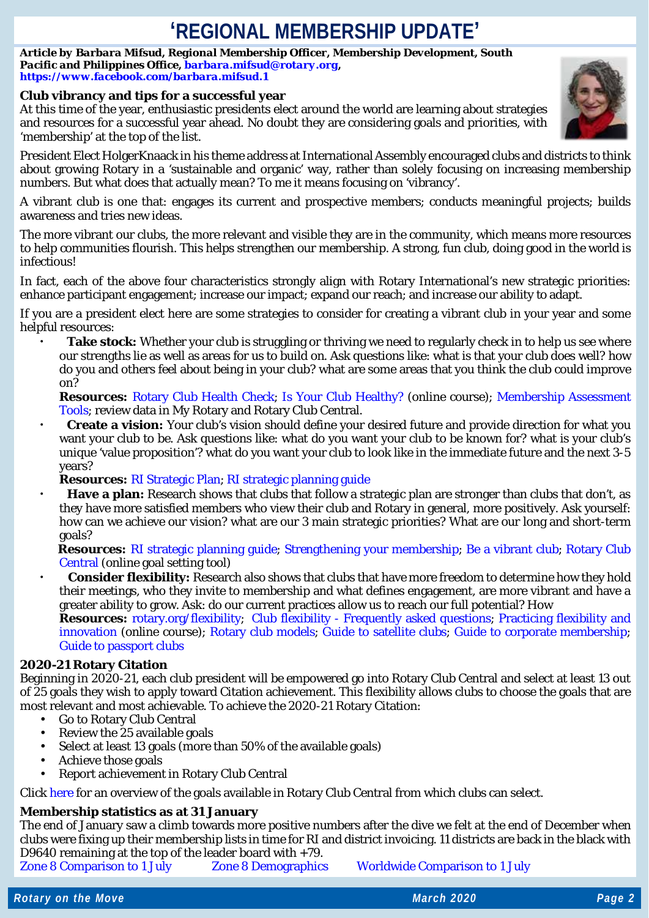# **'REGIONAL MEMBERSHIP UPDATE'**

*Article by Barbara Mifsud, Regional Membership Officer, Membership Development, South Pacific and Philippines Office, [barbara.mifsud@rotary.org,](mailto:barbara.mifsud@rotary.org) <https://www.facebook.com/barbara.mifsud.1>*

### **Club vibrancy and tips for a successful year**

At this time of the year, enthusiastic presidents elect around the world are learning about strategies and resources for a successful year ahead. No doubt they are considering goals and priorities, with 'membership' at the top of the list.



President Elect HolgerKnaack in his theme address at International Assembly encouraged clubs and districts to think about growing Rotary in a 'sustainable and organic' way, rather than solely focusing on increasing membership numbers. But what does that actually mean? To me it means focusing on 'vibrancy'.

A vibrant club is one that: engages its current and prospective members; conducts meaningful projects; builds awareness and tries new ideas.

The more vibrant our clubs, the more relevant and visible they are in the community, which means more resources to help communities flourish. This helps strengthen our membership. A strong, fun club, doing good in the world is infectious!

In fact, each of the above four characteristics strongly align with Rotary International's new strategic priorities: enhance participant engagement; increase our impact; expand our reach; and increase our ability to adapt.

If you are a president elect here are some strategies to consider for creating a vibrant club in your year and some helpful resources:

**Take stock:** Whether your club is struggling or thriving we need to regularly check in to help us see where our strengths lie as well as areas for us to build on. Ask questions like: what is that your club does well? how do you and others feel about being in your club? what are some areas that you think the club could improve on?

**Resources:** [Rotary Club Health Check;](https://www.rotary.org/myrotary/en/document/rotary-club-health-check) [Is Your Club Healthy?](https://my.rotary.org/learn?deep-link=https%3A//learn.rotary.org/members%3Fr%3Dsite/sso%26sso_type%3Dsaml%26id_course%3D107) (online course); Membership Assessment [Tools;](https://www.rotary.org/myrotary/en/document/club-assessment-tools) review data in My Rotary and Rotary Club Central.

**Create a vision:** Your club's vision should define your desired future and provide direction for what you want your club to be. Ask questions like: what do you want your club to be known for? what is your club's unique 'value proposition'? what do you want your club to look like in the immediate future and the next 3-5 years?

**Resources:** [RI Strategic Plan;](https://my.rotary.org/en/learning-reference/about-rotary/strategic-plan) [RI strategic planning guide](https://my.rotary.org/en/document/strategic-planning-guide)

**· Have a plan:** Research shows that clubs that follow a strategic plan are stronger than clubs that don't, as they have more satisfied members who view their club and Rotary in general, more positively. Ask yourself: how can we achieve our vision? what are our 3 main strategic priorities? What are our long and short-term goals?

**Resources:** [RI strategic planning guide;](https://my.rotary.org/en/document/strategic-planning-guide) [Strengthening your membership;](https://my.rotary.org/en/document/strengthening-your-membership-creating-your-membership-development-plan) [Be a vibrant club;](https://my.rotary.org/en/document/be-vibrant-club-your-club-leadership-plan-australia-new-zealand) [Rotary Club](https://my.rotary.org/secure/13301)  [Central](https://my.rotary.org/secure/13301) (online goal setting tool)

**· Consider flexibility:** Research also shows that clubs that have more freedom to determine how they hold their meetings, who they invite to membership and what defines engagement, are more vibrant and have a greater ability to grow. Ask: do our current practices allow us to reach our full potential? How

**Resources:** rotary.org/flexibility; Club flexibility - [Frequently asked questions;](https://my.rotary.org/en/club-flexibility-faq) [Practicing flexibility and](https://my.rotary.org/en/learn?deep-link=https%3A//learn.rotary.org/members%3Fr%3Dsite/sso%26sso_type%3Dsaml%26id_course%3D60)  [innovation](https://my.rotary.org/en/learn?deep-link=https%3A//learn.rotary.org/members%3Fr%3Dsite/sso%26sso_type%3Dsaml%26id_course%3D60) (online course); [Rotary club models;](https://my.rotary.org/en/document/club-types) [Guide to satellite clubs;](https://my.rotary.org/en/document/guide-satellite-clubs) [Guide to corporate membership;](https://my.rotary.org/en/document/guide-corporate-membership) [Guide to passport clubs](https://my.rotary.org/en/document/guide-passport-clubs)

### **2020-21 Rotary Citation**

Beginning in 2020-21, each club president will be empowered go into Rotary Club Central and select at least 13 out of 25 goals they wish to apply toward Citation achievement. This flexibility allows clubs to choose the goals that are most relevant and most achievable. To achieve the 2020-21 Rotary Citation:

- Go to Rotary Club Central
- Review the 25 available goals
- Select at least 13 goals (more than 50% of the available goals)
- Achieve those goals
- Report achievement in Rotary Club Central

Click [here](https://www.dropbox.com/s/8316dz8l7pn6eyl/2020-21_citation_goals_en%20%2800000002%29.pdf?dl=0) for an overview of the goals available in Rotary Club Central from which clubs can select.

### **Membership statistics as at 31 January**

The end of January saw a climb towards more positive numbers after the dive we felt at the end of December when clubs were fixing up their membership lists in time for RI and district invoicing. 11 districts are back in the black with D9640 remaining at the top of the leader board with +79.

[Zone 8 Comparison to 1 July](https://www.dropbox.com/s/j7gqwbkdkez8ih1/COMPARISON_TO_1_JULY%20%2876%29.pdf?dl=0) [Zone 8 Demographics](https://www.dropbox.com/s/02i8lfg2h1sm9rd/DistrictMembershipProgressToGoal%20%2844%29.pdf?dl=0) [Worldwide Comparison to 1 July](https://www.dropbox.com/s/9e9qn72lfe6uq8r/20200211%20-%20Comparison_to_start_figures_Jan_2020.pdf?dl=0)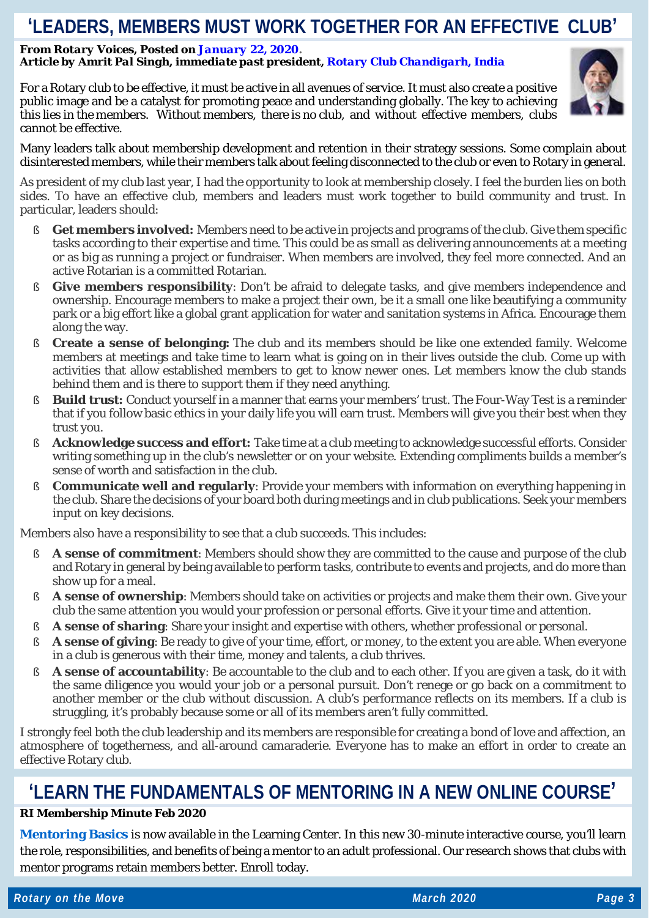# **'LEADERS, MEMBERS MUST WORK TOGETHER FOR AN EFFECTIVE CLUB'**

#### *From Rotary Voices, Posted on [January](https://blog.rotary.org/2020/01/22/leaders-members-must-work-together-for-an-effective-club/) 22, 2020. Article by Amrit Pal Singh, immediate past president, [Rotary Club Chandigarh, India](https://rotarychandigarh.com/)*

For a Rotary club to be effective, it must be active in all avenues of service. It must also create a positive public image and be a catalyst for promoting peace and understanding globally. The key to achieving this lies in the members. Without members, there is no club, and without effective members, clubs cannot be effective.



Many leaders talk about membership development and retention in their strategy sessions. Some complain about disinterested members, while their members talk about feeling disconnected to the club or even to Rotary in general.

As president of my club last year, I had the opportunity to look at membership closely. I feel the burden lies on both sides. To have an effective club, members and leaders must work together to build community and trust. In particular, leaders should:

- § **Get members involved:** Members need to be active in projects and programs of the club. Give them specific tasks according to their expertise and time. This could be as small as delivering announcements at a meeting or as big as running a project or fundraiser. When members are involved, they feel more connected. And an active Rotarian is a committed Rotarian.
- § **Give members responsibility**: Don't be afraid to delegate tasks, and give members independence and ownership. Encourage members to make a project their own, be it a small one like beautifying a community park or a big effort like a global grant application for water and sanitation systems in Africa. Encourage them along the way.
- § **Create a sense of belonging:** The club and its members should be like one extended family. Welcome members at meetings and take time to learn what is going on in their lives outside the club. Come up with activities that allow established members to get to know newer ones. Let members know the club stands behind them and is there to support them if they need anything.
- § **Build trust:** Conduct yourself in a manner that earns your members' trust. The Four-Way Test is a reminder that if you follow basic ethics in your daily life you will earn trust. Members will give you their best when they trust you.
- § **Acknowledge success and effort:** Take time at a club meeting to acknowledge successful efforts. Consider writing something up in the club's newsletter or on your website. Extending compliments builds a member's sense of worth and satisfaction in the club.
- § **Communicate well and regularly**: Provide your members with information on everything happening in the club. Share the decisions of your board both during meetings and in club publications. Seek your members input on key decisions.

Members also have a responsibility to see that a club succeeds. This includes:

- § **A sense of commitment**: Members should show they are committed to the cause and purpose of the club and Rotary in general by being available to perform tasks, contribute to events and projects, and do more than show up for a meal.
- § **A sense of ownership**: Members should take on activities or projects and make them their own. Give your club the same attention you would your profession or personal efforts. Give it your time and attention.
- § **A sense of sharing**: Share your insight and expertise with others, whether professional or personal.
- § **A sense of giving**: Be ready to give of your time, effort, or money, to the extent you are able. When everyone in a club is generous with their time, money and talents, a club thrives.
- § **A sense of accountability**: Be accountable to the club and to each other. If you are given a task, do it with the same diligence you would your job or a personal pursuit. Don't renege or go back on a commitment to another member or the club without discussion. A club's performance reflects on its members. If a club is struggling, it's probably because some or all of its members aren't fully committed.

I strongly feel both the club leadership and its members are responsible for creating a bond of love and affection, an atmosphere of togetherness, and all-around camaraderie. Everyone has to make an effort in order to create an effective Rotary club.

# **'LEARN THE FUNDAMENTALS OF MENTORING IN A NEW ONLINE COURSE'**

### *RI Membership Minute Feb 2020*

**[Mentoring Basics](http://msgfocus.rotary.org/c/11p0CmQaCpwZDd1Gbi8Mrhnz57yy)** is now available in the Learning Center. In this new 30-minute interactive course, you'll learn the role, responsibilities, and benefits of being a mentor to an adult professional. Our research shows that clubs with mentor programs retain members better. Enroll today.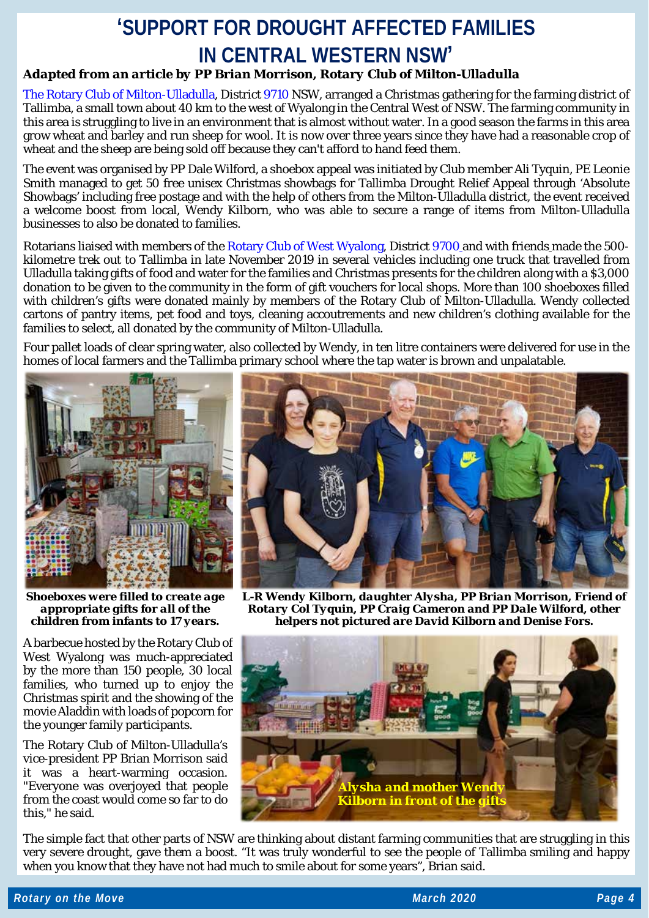# **'SUPPORT FOR DROUGHT AFFECTED FAMILIES IN CENTRAL WESTERN NSW'**

### *Adapted from an article by PP Brian Morrison, Rotary Club of Milton-Ulladulla*

[The Rotary Club of Milton-Ulladulla,](https://rotaryclubofmiltonulladulla.org.au/) Distric[t 9710](http://www.rotaryd9710.org.au/) NSW, arranged a Christmas gathering for the farming district of Tallimba, a small town about 40 km to the west of Wyalong in the Central West of NSW. The farming community in this area is struggling to live in an environment that is almost without water. In a good season the farms in this area grow wheat and barley and run sheep for wool. It is now over three years since they have had a reasonable crop of wheat and the sheep are being sold off because they can't afford to hand feed them.

The event was organised by PP Dale Wilford, a shoebox appeal was initiated by Club member Ali Tyquin, PE Leonie Smith managed to get 50 free unisex Christmas showbags for Tallimba Drought Relief Appeal through 'Absolute Showbags' including free postage and with the help of others from the Milton-Ulladulla district, the event received a welcome boost from local, Wendy Kilborn, who was able to secure a range of items from Milton-Ulladulla businesses to also be donated to families.

Rotarians liaised with members of the [Rotary Club of West Wyalong,](https://www.facebook.com/RotaryWWyalong) District [9700](https://rotary9700.org.au/) and with friends made the 500 kilometre trek out to Tallimba in late November 2019 in several vehicles including one truck that travelled from Ulladulla taking gifts of food and water for the families and Christmas presents for the children along with a \$3,000 donation to be given to the community in the form of gift vouchers for local shops. More than 100 shoeboxes filled with children's gifts were donated mainly by members of the Rotary Club of Milton-Ulladulla. Wendy collected cartons of pantry items, pet food and toys, cleaning accoutrements and new children's clothing available for the families to select, all donated by the community of Milton-Ulladulla.

Four pallet loads of clear spring water, also collected by Wendy, in ten litre containers were delivered for use in the homes of local farmers and the Tallimba primary school where the tap water is brown and unpalatable.



*Shoeboxes were filled to create age appropriate gifts for all of the children from infants to 17 years.*

A barbecue hosted by the Rotary Club of West Wyalong was much-appreciated by the more than 150 people, 30 local families, who turned up to enjoy the Christmas spirit and the showing of the movie Aladdin with loads of popcorn for the younger family participants.

The Rotary Club of Milton-Ulladulla's vice-president PP Brian Morrison said it was a heart-warming occasion. "Everyone was overjoyed that people from the coast would come so far to do this," he said.



*L-R Wendy Kilborn, daughter Alysha, PP Brian Morrison, Friend of Rotary Col Tyquin, PP Craig Cameron and PP Dale Wilford, other helpers not pictured are David Kilborn and Denise Fors.*



The simple fact that other parts of NSW are thinking about distant farming communities that are struggling in this very severe drought, gave them a boost. "It was truly wonderful to see the people of Tallimba smiling and happy when you know that they have not had much to smile about for some years", Brian said.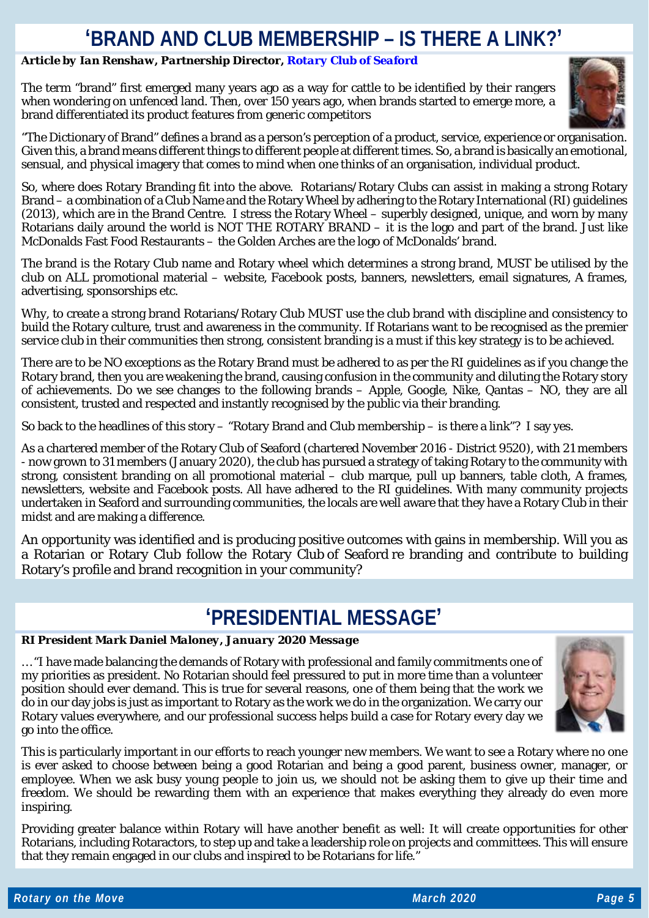# **'BRAND AND CLUB MEMBERSHIP – IS THERE A LINK?'**

### *Article by Ian Renshaw, Partnership Director, [Rotary Club of Seaford](https://www.seafordrotary.org.au/)*

The term "brand" first emerged many years ago as a way for cattle to be identified by their rangers when wondering on unfenced land. Then, over 150 years ago, when brands started to emerge more, a brand differentiated its product features from generic competitors



"The Dictionary of Brand" defines a brand as a person's perception of a product, service, experience or organisation. Given this, a brand means different things to different people at different times. So, a brand is basically an emotional, sensual, and physical imagery that comes to mind when one thinks of an organisation, individual product.

So, where does Rotary Branding fit into the above. Rotarians/Rotary Clubs can assist in making a strong Rotary Brand – a combination of a Club Name and the Rotary Wheel by adhering to the Rotary International (RI) guidelines (2013), which are in the Brand Centre. I stress the Rotary Wheel – superbly designed, unique, and worn by many Rotarians daily around the world is NOT THE ROTARY BRAND – it is the logo and part of the brand. Just like McDonalds Fast Food Restaurants – the Golden Arches are the logo of McDonalds' brand.

The brand is the Rotary Club name and Rotary wheel which determines a strong brand, MUST be utilised by the club on ALL promotional material – website, Facebook posts, banners, newsletters, email signatures, A frames, advertising, sponsorships etc.

Why, to create a strong brand Rotarians/Rotary Club MUST use the club brand with discipline and consistency to build the Rotary culture, trust and awareness in the community. If Rotarians want to be recognised as the premier service club in their communities then strong, consistent branding is a must if this key strategy is to be achieved.

There are to be NO exceptions as the Rotary Brand must be adhered to as per the RI guidelines as if you change the Rotary brand, then you are weakening the brand, causing confusion in the community and diluting the Rotary story of achievements. Do we see changes to the following brands – Apple, Google, Nike, Qantas – NO, they are all consistent, trusted and respected and instantly recognised by the public via their branding.

So back to the headlines of this story – "Rotary Brand and Club membership – is there a link"? I say yes.

As a chartered member of the Rotary Club of Seaford (chartered November 2016 - District 9520), with 21 members - now grown to 31 members (January 2020), the club has pursued a strategy of taking Rotary to the community with strong, consistent branding on all promotional material – club marque, pull up banners, table cloth, A frames, newsletters, website and Facebook posts. All have adhered to the RI guidelines. With many community projects undertaken in Seaford and surrounding communities, the locals are well aware that they have a Rotary Club in their midst and are making a difference.

An opportunity was identified and is producing positive outcomes with gains in membership. Will you as a Rotarian or Rotary Club follow the Rotary Club of Seaford re branding and contribute to building Rotary's profile and brand recognition in your community?

# **'PRESIDENTIAL MESSAGE'**

### *RI President Mark Daniel Maloney, January 2020 Message*

… "I have made balancing the demands of Rotary with professional and family commitments one of my priorities as president. No Rotarian should feel pressured to put in more time than a volunteer position should ever demand. This is true for several reasons, one of them being that the work we do in our day jobs is just as important to Rotary as the work we do in the organization. We carry our Rotary values everywhere, and our professional success helps build a case for Rotary every day we go into the office.



This is particularly important in our efforts to reach younger new members. We want to see a Rotary where no one is ever asked to choose between being a good Rotarian and being a good parent, business owner, manager, or employee. When we ask busy young people to join us, we should not be asking them to give up their time and freedom. We should be rewarding them with an experience that makes everything they already do even more inspiring.

Providing greater balance within Rotary will have another benefit as well: It will create opportunities for other Rotarians, including Rotaractors, to step up and take a leadership role on projects and committees. This will ensure that they remain engaged in our clubs and inspired to be Rotarians for life."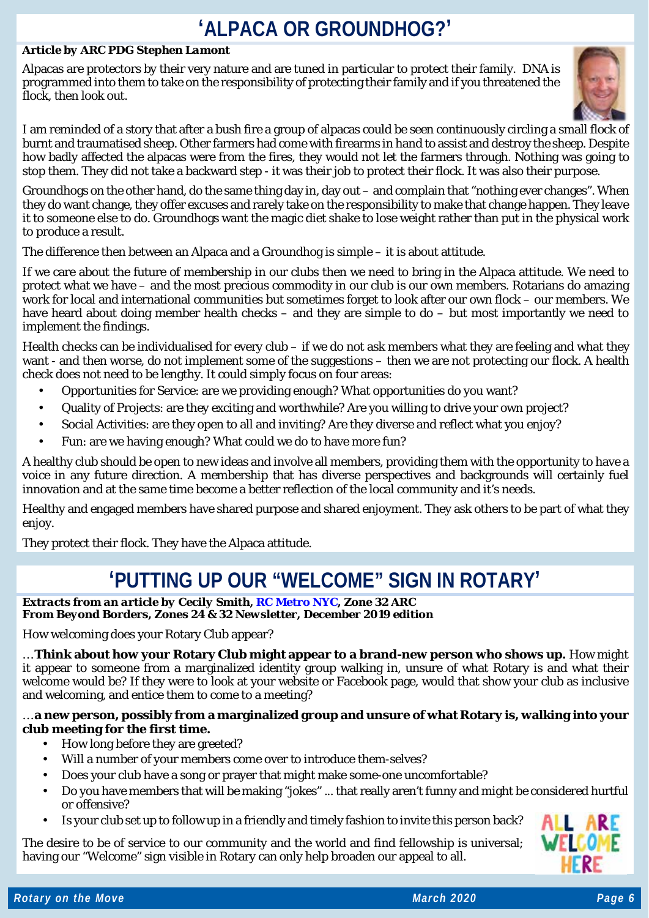# **'ALPACA OR GROUNDHOG?'**

### *Article by ARC PDG Stephen Lamont*

Alpacas are protectors by their very nature and are tuned in particular to protect their family. DNA is programmed into them to take on the responsibility of protecting their family and if you threatened the flock, then look out.



I am reminded of a story that after a bush fire a group of alpacas could be seen continuously circling a small flock of burnt and traumatised sheep. Other farmers had come with firearms in hand to assist and destroy the sheep. Despite how badly affected the alpacas were from the fires, they would not let the farmers through. Nothing was going to stop them. They did not take a backward step - it was their job to protect their flock. It was also their purpose.

Groundhogs on the other hand, do the same thing day in, day out – and complain that "nothing ever changes". When they do want change, they offer excuses and rarely take on the responsibility to make that change happen. They leave it to someone else to do. Groundhogs want the magic diet shake to lose weight rather than put in the physical work to produce a result.

The difference then between an Alpaca and a Groundhog is simple – it is about attitude.

If we care about the future of membership in our clubs then we need to bring in the Alpaca attitude. We need to protect what we have – and the most precious commodity in our club is our own members. Rotarians do amazing work for local and international communities but sometimes forget to look after our own flock – our members. We have heard about doing member health checks – and they are simple to do – but most importantly we need to implement the findings.

Health checks can be individualised for every club – if we do not ask members what they are feeling and what they want - and then worse, do not implement some of the suggestions – then we are not protecting our flock. A health check does not need to be lengthy. It could simply focus on four areas:

- Opportunities for Service: are we providing enough? What opportunities do you want?
- Quality of Projects: are they exciting and worthwhile? Are you willing to drive your own project?
- Social Activities: are they open to all and inviting? Are they diverse and reflect what you enjoy?
- Fun: are we having enough? What could we do to have more fun?

A healthy club should be open to new ideas and involve all members, providing them with the opportunity to have a voice in any future direction. A membership that has diverse perspectives and backgrounds will certainly fuel innovation and at the same time become a better reflection of the local community and it's needs.

Healthy and engaged members have shared purpose and shared enjoyment. They ask others to be part of what they enjoy.

They protect their flock. They have the Alpaca attitude.

# **'PUTTING UP OUR "WELCOME" SIGN IN ROTARY'**

#### *Extracts from an article by Cecily Smith, [RC Metro NYC,](https://rotarymetronyc.org/) Zone 32 ARC From Beyond Borders, Zones 24 & 32 Newsletter, December 2019 edition*

How welcoming does your Rotary Club appear?

… **Think about how your Rotary Club might appear to a brand-new person who shows up.** How might it appear to someone from a marginalized identity group walking in, unsure of what Rotary is and what their welcome would be? If they were to look at your website or Facebook page, would that show your club as inclusive and welcoming, and entice them to come to a meeting?

### … **a new person, possibly from a marginalized group and unsure of what Rotary is, walking into your club meeting for the first time.**

- How long before they are greeted?
- Will a number of your members come over to introduce them-selves?
- Does your club have a song or prayer that might make some-one uncomfortable?
- Do you have members that will be making "jokes" ... that really aren't funny and might be considered hurtful or offensive?
- Is your club set up to follow up in a friendly and timely fashion to invite this person back?

The desire to be of service to our community and the world and find fellowship is universal; having our "Welcome" sign visible in Rotary can only help broaden our appeal to all.

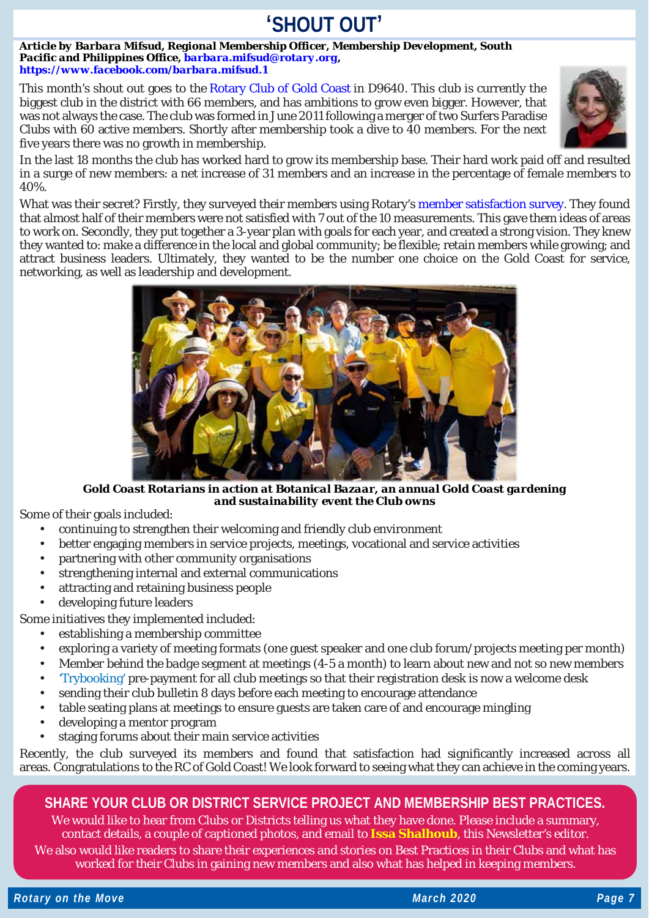# **'SHOUT OUT'**

*Article by Barbara Mifsud, Regional Membership Officer, Membership Development, South Pacific and Philippines Office[, barbara.mifsud@rotary.org,](mailto:barbara.mifsud@rotary.org) <https://www.facebook.com/barbara.mifsud.1>*

This month's shout out goes to the [Rotary](https://www.goldcoastrotary.org.au/) Club of Gold Coast in D9640. This club is currently the biggest club in the district with 66 members, and has ambitions to grow even bigger. However, that was not always the case. The club was formed in June 2011 following a merger of two Surfers Paradise Clubs with 60 active members. Shortly after membership took a dive to 40 members. For the next five years there was no growth in membership.



In the last 18 months the club has worked hard to grow its membership base. Their hard work paid off and resulted in a surge of new members: a net increase of 31 members and an increase in the percentage of female members to 40%.

What was their secret? Firstly, they surveyed their members using Rotary's member [satisfaction](https://my.rotary.org/en/document/enhancing-club-experience-member-satisfaction-survey) survey. They found that almost half of their members were not satisfied with 7 out of the 10 measurements. This gave them ideas of areas to work on. Secondly, they put together a 3-year plan with goals for each year, and created a strong vision. They knew they wanted to: make a difference in the local and global community; be flexible; retain members while growing; and attract business leaders. Ultimately, they wanted to be the number one choice on the Gold Coast for service, networking, as well as leadership and development.



*Gold Coast Rotarians in action at Botanical Bazaar, an annual Gold Coast gardening and sustainability event the Club owns*

Some of their goals included:

- l, continuing to strengthen their welcoming and friendly club environment
- better engaging members in service projects, meetings, vocational and service activities
- partnering with other community organisations
- strengthening internal and external communications
- attracting and retaining business people
- developing future leaders

Some initiatives they implemented included:

- establishing a membership committee
- exploring a variety of meeting formats (one guest speaker and one club forum/projects meeting per month)
- *Member behind the badge* segment at meetings (4-5 a month) to learn about new and not so new members
- ['Trybooking'](https://portal.trybooking.com/au/auth) pre-payment for all club meetings so that their registration desk is now a welcome desk
- sending their club bulletin 8 days before each meeting to encourage attendance
- table seating plans at meetings to ensure guests are taken care of and encourage mingling
- developing a mentor program
- staging forums about their main service activities

Recently, the club surveyed its members and found that satisfaction had significantly increased across all areas. Congratulations to the RC of Gold Coast! We look forward to seeing what they can achieve in the coming years.

### **SHARE YOUR CLUB OR DISTRICT SERVICE PROJECT AND MEMBERSHIP BEST PRACTICES.**

We would like to hear from Clubs or Districts telling us what they have done. Please include a summary, contact details, a couple of captioned photos, and email to **[Issa Shalhoub](mailto:drissa@bigpond.com)**, this Newsletter's editor*.*

We also would like readers to share their experiences and stories on Best Practices in their Clubs and what has worked for their Clubs in gaining new members and also what has helped in keeping members.